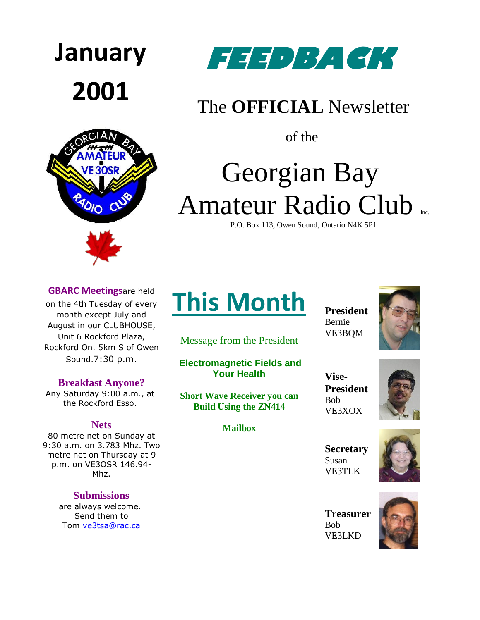





### The **OFFICIAL** Newsletter

of the

# Georgian Bay Amateur Radio Club

P.O. Box 113, Owen Sound, Ontario N4K 5P1

#### **GBARC Meetings**are held

on the 4th Tuesday of every month except July and August in our CLUBHOUSE, Unit 6 Rockford Plaza, Rockford On. 5km S of Owen Sound.7:30 p.m.

#### **Breakfast Anyone?**

Any Saturday 9:00 a.m., at the Rockford Esso.

#### **Nets**

80 metre net on Sunday at 9:30 a.m. on 3.783 Mhz. Two metre net on Thursday at 9 p.m. on VE3OSR 146.94- Mhz.

### **Submissions**

are always welcome. Send them to Tom [ve3tsa@rac.ca](mailto:ve3tsa@rac.ca)

## **This Month**

Message from the President

**Electromagnetic Fields and Your Health**

**Short Wave Receiver you can Build Using the ZN414**

#### **Mailbox**

**President** Bernie VE3BQM



**Vise-President** Bob VE3XOX



**Secretary** Susan VE3TLK



**Treasurer** Bob [VE3LKD](mailto:droines@bmts.com)

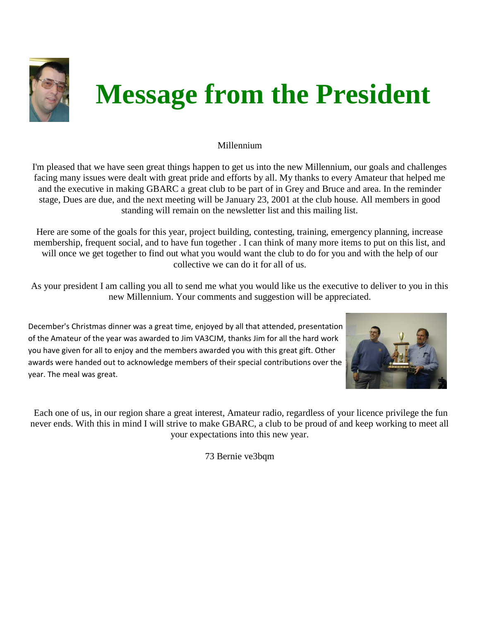

# **Message from the President**

### Millennium

I'm pleased that we have seen great things happen to get us into the new Millennium, our goals and challenges facing many issues were dealt with great pride and efforts by all. My thanks to every Amateur that helped me and the executive in making GBARC a great club to be part of in Grey and Bruce and area. In the reminder stage, Dues are due, and the next meeting will be January 23, 2001 at the club house. All members in good standing will remain on the newsletter list and this mailing list.

Here are some of the goals for this year, project building, contesting, training, emergency planning, increase membership, frequent social, and to have fun together . I can think of many more items to put on this list, and will once we get together to find out what you would want the club to do for you and with the help of our collective we can do it for all of us.

As your president I am calling you all to send me what you would like us the executive to deliver to you in this new Millennium. Your comments and suggestion will be appreciated.

December's Christmas dinner was a great time, enjoyed by all that attended, presentation of the Amateur of the year was awarded to Jim VA3CJM, thanks Jim for all the hard work you have given for all to enjoy and the members awarded you with this great gift. Other awards were handed out to acknowledge members of their special contributions over the year. The meal was great.



Each one of us, in our region share a great interest, Amateur radio, regardless of your licence privilege the fun never ends. With this in mind I will strive to make GBARC, a club to be proud of and keep working to meet all your expectations into this new year.

73 Bernie ve3bqm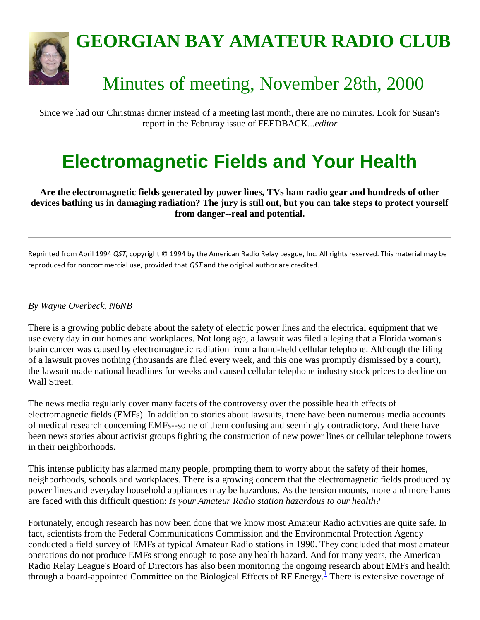

## **GEORGIAN BAY AMATEUR RADIO CLUB**

## Minutes of meeting, November 28th, 2000

Since we had our Christmas dinner instead of a meeting last month, there are no minutes. Look for Susan's report in the Februray issue of FEEDBACK...*editor*

## **Electromagnetic Fields and Your Health**

**Are the electromagnetic fields generated by power lines, TVs ham radio gear and hundreds of other devices bathing us in damaging radiation? The jury is still out, but you can take steps to protect yourself from danger--real and potential.**

Reprinted from April 1994 *QST*, copyright © 1994 by the American Radio Relay League, Inc. All rights reserved. This material may be reproduced for noncommercial use, provided that *QST* and the original author are credited.

### *By Wayne Overbeck, N6NB*

There is a growing public debate about the safety of electric power lines and the electrical equipment that we use every day in our homes and workplaces. Not long ago, a lawsuit was filed alleging that a Florida woman's brain cancer was caused by electromagnetic radiation from a hand-held cellular telephone. Although the filing of a lawsuit proves nothing (thousands are filed every week, and this one was promptly dismissed by a court), the lawsuit made national headlines for weeks and caused cellular telephone industry stock prices to decline on Wall Street.

The news media regularly cover many facets of the controversy over the possible health effects of electromagnetic fields (EMFs). In addition to stories about lawsuits, there have been numerous media accounts of medical research concerning EMFs--some of them confusing and seemingly contradictory. And there have been news stories about activist groups fighting the construction of new power lines or cellular telephone towers in their neighborhoods.

This intense publicity has alarmed many people, prompting them to worry about the safety of their homes, neighborhoods, schools and workplaces. There is a growing concern that the electromagnetic fields produced by power lines and everyday household appliances may be hazardous. As the tension mounts, more and more hams are faced with this difficult question: *Is your Amateur Radio station hazardous to our health?*

Fortunately, enough research has now been done that we know most Amateur Radio activities are quite safe. In fact, scientists from the Federal Communications Commission and the Environmental Protection Agency conducted a field survey of EMFs at typical Amateur Radio stations in 1990. They concluded that most amateur operations do not produce EMFs strong enough to pose any health hazard. And for many years, the American Radio Relay League's Board of Directors has also been monitoring the ongoing research about EMFs and health through a board-appointed Committee on the Biological Effects of RF Energy.<sup>[1](file:///C:/GBARC/gbarcnewsletters/GBARC%20newsletter/feedback/jan01.htm%23rfsc)</sup> There is extensive coverage of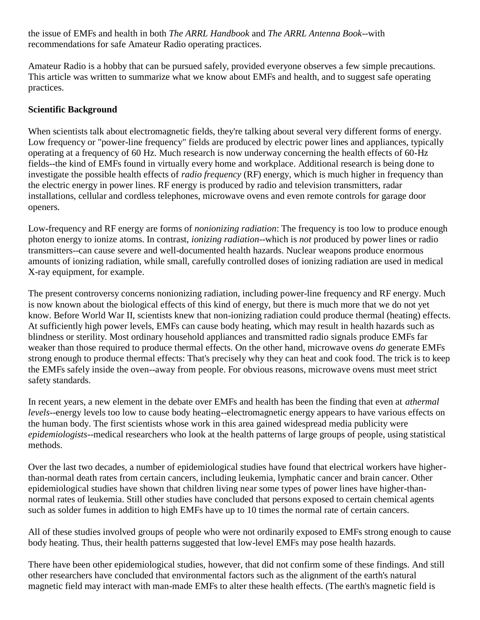the issue of EMFs and health in both *The ARRL Handbook* and *The ARRL Antenna Book*--with recommendations for safe Amateur Radio operating practices.

Amateur Radio is a hobby that can be pursued safely, provided everyone observes a few simple precautions. This article was written to summarize what we know about EMFs and health, and to suggest safe operating practices.

### **Scientific Background**

When scientists talk about electromagnetic fields, they're talking about several very different forms of energy. Low frequency or "power-line frequency" fields are produced by electric power lines and appliances, typically operating at a frequency of 60 Hz. Much research is now underway concerning the health effects of 60-Hz fields--the kind of EMFs found in virtually every home and workplace. Additional research is being done to investigate the possible health effects of *radio frequency* (RF) energy, which is much higher in frequency than the electric energy in power lines. RF energy is produced by radio and television transmitters, radar installations, cellular and cordless telephones, microwave ovens and even remote controls for garage door openers.

Low-frequency and RF energy are forms of *nonionizing radiation*: The frequency is too low to produce enough photon energy to ionize atoms. In contrast, *ionizing radiation*--which is *not* produced by power lines or radio transmitters--can cause severe and well-documented health hazards. Nuclear weapons produce enormous amounts of ionizing radiation, while small, carefully controlled doses of ionizing radiation are used in medical X-ray equipment, for example.

The present controversy concerns nonionizing radiation, including power-line frequency and RF energy. Much is now known about the biological effects of this kind of energy, but there is much more that we do not yet know. Before World War II, scientists knew that non-ionizing radiation could produce thermal (heating) effects. At sufficiently high power levels, EMFs can cause body heating, which may result in health hazards such as blindness or sterility. Most ordinary household appliances and transmitted radio signals produce EMFs far weaker than those required to produce thermal effects. On the other hand, microwave ovens *do* generate EMFs strong enough to produce thermal effects: That's precisely why they can heat and cook food. The trick is to keep the EMFs safely inside the oven--away from people. For obvious reasons, microwave ovens must meet strict safety standards.

In recent years, a new element in the debate over EMFs and health has been the finding that even at *athermal levels*--energy levels too low to cause body heating--electromagnetic energy appears to have various effects on the human body. The first scientists whose work in this area gained widespread media publicity were *epidemiologists*--medical researchers who look at the health patterns of large groups of people, using statistical methods.

Over the last two decades, a number of epidemiological studies have found that electrical workers have higherthan-normal death rates from certain cancers, including leukemia, lymphatic cancer and brain cancer. Other epidemiological studies have shown that children living near some types of power lines have higher-thannormal rates of leukemia. Still other studies have concluded that persons exposed to certain chemical agents such as solder fumes in addition to high EMFs have up to 10 times the normal rate of certain cancers.

All of these studies involved groups of people who were not ordinarily exposed to EMFs strong enough to cause body heating. Thus, their health patterns suggested that low-level EMFs may pose health hazards.

There have been other epidemiological studies, however, that did not confirm some of these findings. And still other researchers have concluded that environmental factors such as the alignment of the earth's natural magnetic field may interact with man-made EMFs to alter these health effects. (The earth's magnetic field is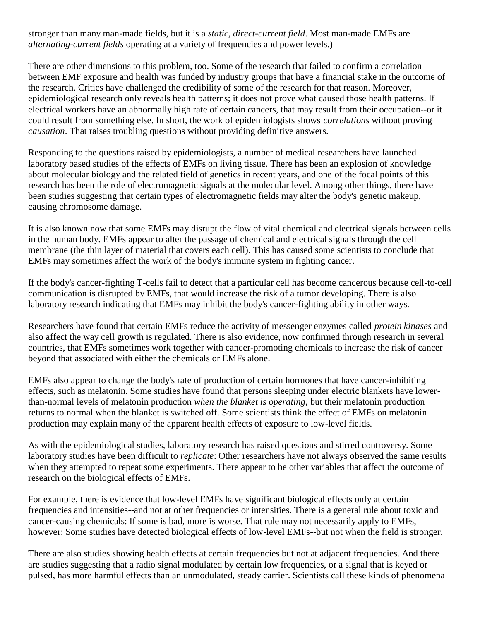stronger than many man-made fields, but it is a *static, direct-current field*. Most man-made EMFs are *alternating-current fields* operating at a variety of frequencies and power levels.)

There are other dimensions to this problem, too. Some of the research that failed to confirm a correlation between EMF exposure and health was funded by industry groups that have a financial stake in the outcome of the research. Critics have challenged the credibility of some of the research for that reason. Moreover, epidemiological research only reveals health patterns; it does not prove what caused those health patterns. If electrical workers have an abnormally high rate of certain cancers, that may result from their occupation--or it could result from something else. In short, the work of epidemiologists shows *correlations* without proving *causation*. That raises troubling questions without providing definitive answers.

Responding to the questions raised by epidemiologists, a number of medical researchers have launched laboratory based studies of the effects of EMFs on living tissue. There has been an explosion of knowledge about molecular biology and the related field of genetics in recent years, and one of the focal points of this research has been the role of electromagnetic signals at the molecular level. Among other things, there have been studies suggesting that certain types of electromagnetic fields may alter the body's genetic makeup, causing chromosome damage.

It is also known now that some EMFs may disrupt the flow of vital chemical and electrical signals between cells in the human body. EMFs appear to alter the passage of chemical and electrical signals through the cell membrane (the thin layer of material that covers each cell). This has caused some scientists to conclude that EMFs may sometimes affect the work of the body's immune system in fighting cancer.

If the body's cancer-fighting T-cells fail to detect that a particular cell has become cancerous because cell-to-cell communication is disrupted by EMFs, that would increase the risk of a tumor developing. There is also laboratory research indicating that EMFs may inhibit the body's cancer-fighting ability in other ways.

Researchers have found that certain EMFs reduce the activity of messenger enzymes called *protein kinases* and also affect the way cell growth is regulated. There is also evidence, now confirmed through research in several countries, that EMFs sometimes work together with cancer-promoting chemicals to increase the risk of cancer beyond that associated with either the chemicals or EMFs alone.

EMFs also appear to change the body's rate of production of certain hormones that have cancer-inhibiting effects, such as melatonin. Some studies have found that persons sleeping under electric blankets have lowerthan-normal levels of melatonin production *when the blanket is operating*, but their melatonin production returns to normal when the blanket is switched off. Some scientists think the effect of EMFs on melatonin production may explain many of the apparent health effects of exposure to low-level fields.

As with the epidemiological studies, laboratory research has raised questions and stirred controversy. Some laboratory studies have been difficult to *replicate*: Other researchers have not always observed the same results when they attempted to repeat some experiments. There appear to be other variables that affect the outcome of research on the biological effects of EMFs.

For example, there is evidence that low-level EMFs have significant biological effects only at certain frequencies and intensities--and not at other frequencies or intensities. There is a general rule about toxic and cancer-causing chemicals: If some is bad, more is worse. That rule may not necessarily apply to EMFs, however: Some studies have detected biological effects of low-level EMFs--but not when the field is stronger.

There are also studies showing health effects at certain frequencies but not at adjacent frequencies. And there are studies suggesting that a radio signal modulated by certain low frequencies, or a signal that is keyed or pulsed, has more harmful effects than an unmodulated, steady carrier. Scientists call these kinds of phenomena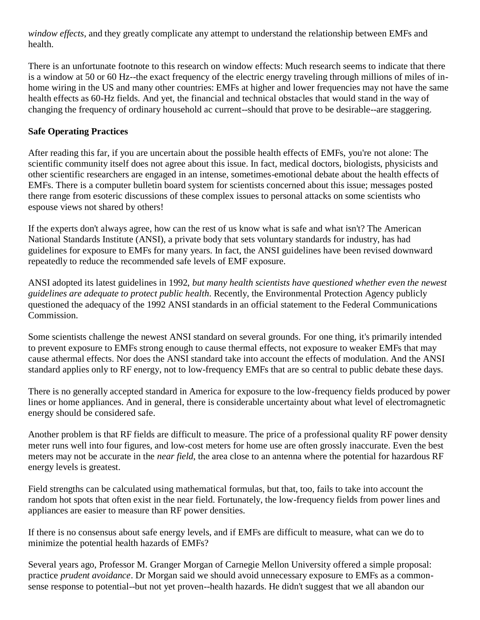*window effects*, and they greatly complicate any attempt to understand the relationship between EMFs and health.

There is an unfortunate footnote to this research on window effects: Much research seems to indicate that there is a window at 50 or 60 Hz--the exact frequency of the electric energy traveling through millions of miles of inhome wiring in the US and many other countries: EMFs at higher and lower frequencies may not have the same health effects as 60-Hz fields. And yet, the financial and technical obstacles that would stand in the way of changing the frequency of ordinary household ac current--should that prove to be desirable--are staggering.

### **Safe Operating Practices**

After reading this far, if you are uncertain about the possible health effects of EMFs, you're not alone: The scientific community itself does not agree about this issue. In fact, medical doctors, biologists, physicists and other scientific researchers are engaged in an intense, sometimes-emotional debate about the health effects of EMFs. There is a computer bulletin board system for scientists concerned about this issue; messages posted there range from esoteric discussions of these complex issues to personal attacks on some scientists who espouse views not shared by others!

If the experts don't always agree, how can the rest of us know what is safe and what isn't? The American National Standards Institute (ANSI), a private body that sets voluntary standards for industry, has had guidelines for exposure to EMFs for many years. In fact, the ANSI guidelines have been revised downward repeatedly to reduce the recommended safe levels of EMF exposure.

ANSI adopted its latest guidelines in 1992, *but many health scientists have questioned whether even the newest guidelines are adequate to protect public health*. Recently, the Environmental Protection Agency publicly questioned the adequacy of the 1992 ANSI standards in an official statement to the Federal Communications Commission.

Some scientists challenge the newest ANSI standard on several grounds. For one thing, it's primarily intended to prevent exposure to EMFs strong enough to cause thermal effects, not exposure to weaker EMFs that may cause athermal effects. Nor does the ANSI standard take into account the effects of modulation. And the ANSI standard applies only to RF energy, not to low-frequency EMFs that are so central to public debate these days.

There is no generally accepted standard in America for exposure to the low-frequency fields produced by power lines or home appliances. And in general, there is considerable uncertainty about what level of electromagnetic energy should be considered safe.

Another problem is that RF fields are difficult to measure. The price of a professional quality RF power density meter runs well into four figures, and low-cost meters for home use are often grossly inaccurate. Even the best meters may not be accurate in the *near field*, the area close to an antenna where the potential for hazardous RF energy levels is greatest.

Field strengths can be calculated using mathematical formulas, but that, too, fails to take into account the random hot spots that often exist in the near field. Fortunately, the low-frequency fields from power lines and appliances are easier to measure than RF power densities.

If there is no consensus about safe energy levels, and if EMFs are difficult to measure, what can we do to minimize the potential health hazards of EMFs?

Several years ago, Professor M. Granger Morgan of Carnegie Mellon University offered a simple proposal: practice *prudent avoidance*. Dr Morgan said we should avoid unnecessary exposure to EMFs as a commonsense response to potential--but not yet proven--health hazards. He didn't suggest that we all abandon our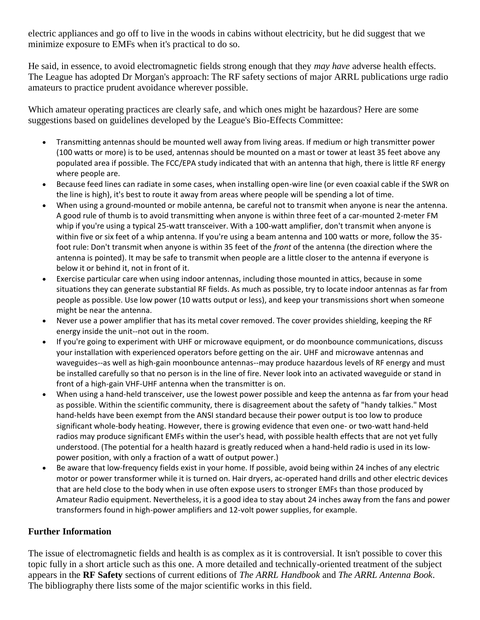electric appliances and go off to live in the woods in cabins without electricity, but he did suggest that we minimize exposure to EMFs when it's practical to do so.

He said, in essence, to avoid electromagnetic fields strong enough that they *may have* adverse health effects. The League has adopted Dr Morgan's approach: The RF safety sections of major ARRL publications urge radio amateurs to practice prudent avoidance wherever possible.

Which amateur operating practices are clearly safe, and which ones might be hazardous? Here are some suggestions based on guidelines developed by the League's Bio-Effects Committee:

- Transmitting antennas should be mounted well away from living areas. If medium or high transmitter power (100 watts or more) is to be used, antennas should be mounted on a mast or tower at least 35 feet above any populated area if possible. The FCC/EPA study indicated that with an antenna that high, there is little RF energy where people are.
- Because feed lines can radiate in some cases, when installing open-wire line (or even coaxial cable if the SWR on the line is high), it's best to route it away from areas where people will be spending a lot of time.
- When using a ground-mounted or mobile antenna, be careful not to transmit when anyone is near the antenna. A good rule of thumb is to avoid transmitting when anyone is within three feet of a car-mounted 2-meter FM whip if you're using a typical 25-watt transceiver. With a 100-watt amplifier, don't transmit when anyone is within five or six feet of a whip antenna. If you're using a beam antenna and 100 watts or more, follow the 35 foot rule: Don't transmit when anyone is within 35 feet of the *front* of the antenna (the direction where the antenna is pointed). It may be safe to transmit when people are a little closer to the antenna if everyone is below it or behind it, not in front of it.
- Exercise particular care when using indoor antennas, including those mounted in attics, because in some situations they can generate substantial RF fields. As much as possible, try to locate indoor antennas as far from people as possible. Use low power (10 watts output or less), and keep your transmissions short when someone might be near the antenna.
- Never use a power amplifier that has its metal cover removed. The cover provides shielding, keeping the RF energy inside the unit--not out in the room.
- If you're going to experiment with UHF or microwave equipment, or do moonbounce communications, discuss your installation with experienced operators before getting on the air. UHF and microwave antennas and waveguides--as well as high-gain moonbounce antennas--may produce hazardous levels of RF energy and must be installed carefully so that no person is in the line of fire. Never look into an activated waveguide or stand in front of a high-gain VHF-UHF antenna when the transmitter is on.
- When using a hand-held transceiver, use the lowest power possible and keep the antenna as far from your head as possible. Within the scientific community, there is disagreement about the safety of "handy talkies." Most hand-helds have been exempt from the ANSI standard because their power output is too low to produce significant whole-body heating. However, there is growing evidence that even one- or two-watt hand-held radios may produce significant EMFs within the user's head, with possible health effects that are not yet fully understood. (The potential for a health hazard is greatly reduced when a hand-held radio is used in its lowpower position, with only a fraction of a watt of output power.)
- Be aware that low-frequency fields exist in your home. If possible, avoid being within 24 inches of any electric motor or power transformer while it is turned on. Hair dryers, ac-operated hand drills and other electric devices that are held close to the body when in use often expose users to stronger EMFs than those produced by Amateur Radio equipment. Nevertheless, it is a good idea to stay about 24 inches away from the fans and power transformers found in high-power amplifiers and 12-volt power supplies, for example.

### **Further Information**

The issue of electromagnetic fields and health is as complex as it is controversial. It isn't possible to cover this topic fully in a short article such as this one. A more detailed and technically-oriented treatment of the subject appears in the **RF Safety** sections of current editions of *The ARRL Handbook* and *The ARRL Antenna Book*. The bibliography there lists some of the major scientific works in this field.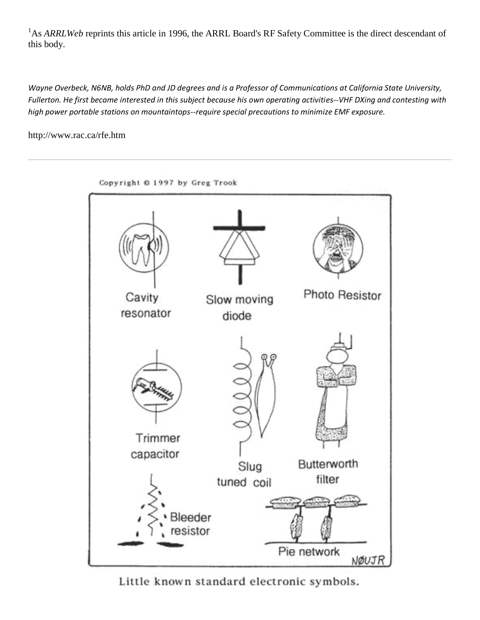<sup>1</sup>As *ARRLWeb* reprints this article in 1996, the ARRL Board's RF Safety Committee is the direct descendant of this body.

*Wayne Overbeck, N6NB, holds PhD and JD degrees and is a Professor of Communications at California State University, Fullerton. He first became interested in this subject because his own operating activities--VHF DXing and contesting with high power portable stations on mountaintops--require special precautions to minimize EMF exposure.*

http://www.rac.ca/rfe.htm



Little known standard electronic symbols.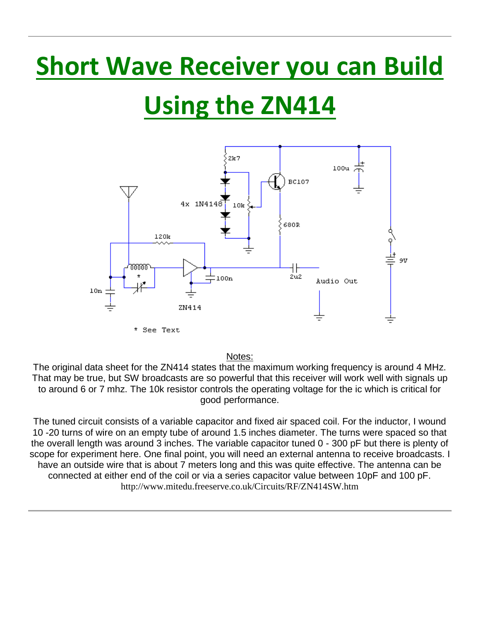## **Short Wave Receiver you can Build**

# **Using the ZN414**



Notes:

The original data sheet for the ZN414 states that the maximum working frequency is around 4 MHz. That may be true, but SW broadcasts are so powerful that this receiver will work well with signals up to around 6 or 7 mhz. The 10k resistor controls the operating voltage for the ic which is critical for good performance.

The tuned circuit consists of a variable capacitor and fixed air spaced coil. For the inductor, I wound 10 -20 turns of wire on an empty tube of around 1.5 inches diameter. The turns were spaced so that the overall length was around 3 inches. The variable capacitor tuned 0 - 300 pF but there is plenty of scope for experiment here. One final point, you will need an external antenna to receive broadcasts. I have an outside wire that is about 7 meters long and this was quite effective. The antenna can be connected at either end of the coil or via a series capacitor value between 10pF and 100 pF. http://www.mitedu.freeserve.co.uk/Circuits/RF/ZN414SW.htm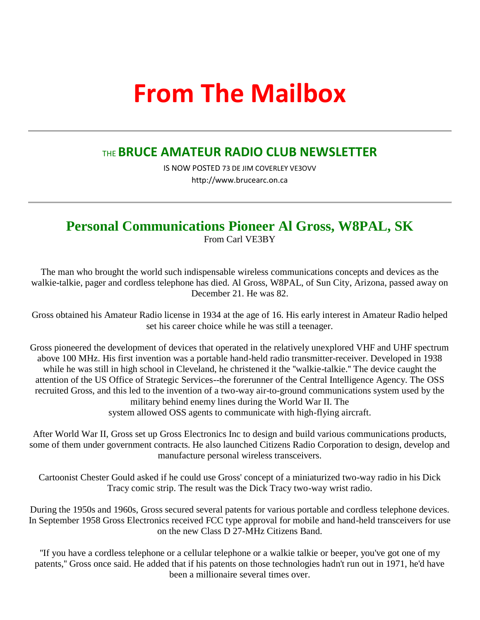## **From The Mailbox**

### THE **BRUCE AMATEUR RADIO CLUB NEWSLETTER**

IS NOW POSTED 73 DE JIM COVERLEY VE3OVV http://www.brucearc.on.ca

### **Personal Communications Pioneer Al Gross, W8PAL, SK**

From Carl VE3BY

The man who brought the world such indispensable wireless communications concepts and devices as the walkie-talkie, pager and cordless telephone has died. Al Gross, W8PAL, of Sun City, Arizona, passed away on December 21. He was 82.

Gross obtained his Amateur Radio license in 1934 at the age of 16. His early interest in Amateur Radio helped set his career choice while he was still a teenager.

Gross pioneered the development of devices that operated in the relatively unexplored VHF and UHF spectrum above 100 MHz. His first invention was a portable hand-held radio transmitter-receiver. Developed in 1938 while he was still in high school in Cleveland, he christened it the "walkie-talkie." The device caught the attention of the US Office of Strategic Services--the forerunner of the Central Intelligence Agency. The OSS recruited Gross, and this led to the invention of a two-way air-to-ground communications system used by the military behind enemy lines during the World War II. The system allowed OSS agents to communicate with high-flying aircraft.

After World War II, Gross set up Gross Electronics Inc to design and build various communications products, some of them under government contracts. He also launched Citizens Radio Corporation to design, develop and manufacture personal wireless transceivers.

Cartoonist Chester Gould asked if he could use Gross' concept of a miniaturized two-way radio in his Dick Tracy comic strip. The result was the Dick Tracy two-way wrist radio.

During the 1950s and 1960s, Gross secured several patents for various portable and cordless telephone devices. In September 1958 Gross Electronics received FCC type approval for mobile and hand-held transceivers for use on the new Class D 27-MHz Citizens Band.

''If you have a cordless telephone or a cellular telephone or a walkie talkie or beeper, you've got one of my patents,'' Gross once said. He added that if his patents on those technologies hadn't run out in 1971, he'd have been a millionaire several times over.